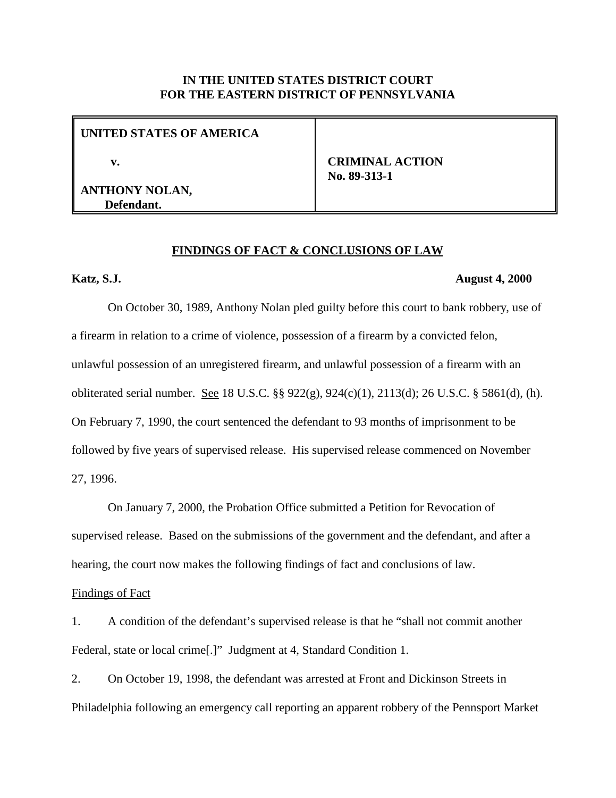## **IN THE UNITED STATES DISTRICT COURT FOR THE EASTERN DISTRICT OF PENNSYLVANIA**

**UNITED STATES OF AMERICA**

 **v.**

**ANTHONY NOLAN, Defendant.**

 **CRIMINAL ACTION No. 89-313-1**

### **FINDINGS OF FACT & CONCLUSIONS OF LAW**

### **Katz, S.J. August 4, 2000**

On October 30, 1989, Anthony Nolan pled guilty before this court to bank robbery, use of a firearm in relation to a crime of violence, possession of a firearm by a convicted felon, unlawful possession of an unregistered firearm, and unlawful possession of a firearm with an obliterated serial number. See 18 U.S.C. §§ 922(g), 924(c)(1), 2113(d); 26 U.S.C. § 5861(d), (h). On February 7, 1990, the court sentenced the defendant to 93 months of imprisonment to be followed by five years of supervised release. His supervised release commenced on November 27, 1996.

On January 7, 2000, the Probation Office submitted a Petition for Revocation of supervised release. Based on the submissions of the government and the defendant, and after a hearing, the court now makes the following findings of fact and conclusions of law.

#### Findings of Fact

1. A condition of the defendant's supervised release is that he "shall not commit another Federal, state or local crime[.]" Judgment at 4, Standard Condition 1.

2. On October 19, 1998, the defendant was arrested at Front and Dickinson Streets in Philadelphia following an emergency call reporting an apparent robbery of the Pennsport Market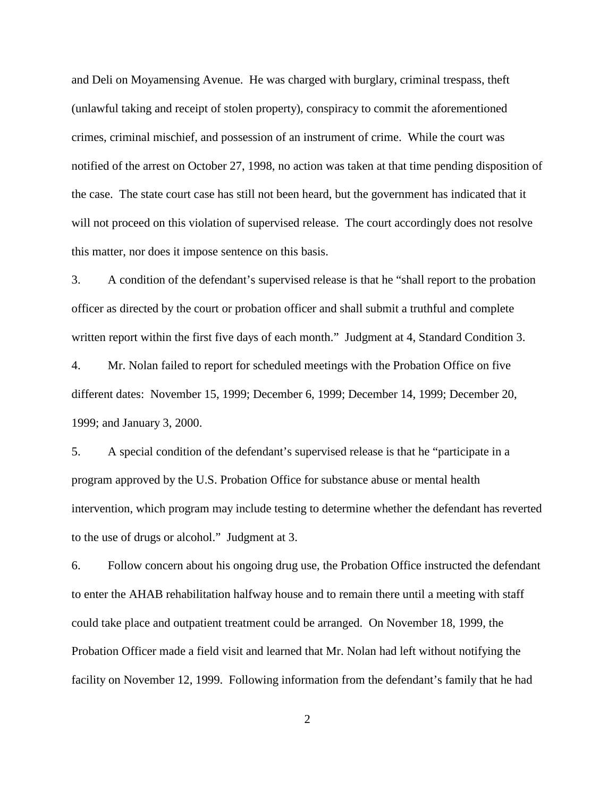and Deli on Moyamensing Avenue. He was charged with burglary, criminal trespass, theft (unlawful taking and receipt of stolen property), conspiracy to commit the aforementioned crimes, criminal mischief, and possession of an instrument of crime. While the court was notified of the arrest on October 27, 1998, no action was taken at that time pending disposition of the case. The state court case has still not been heard, but the government has indicated that it will not proceed on this violation of supervised release. The court accordingly does not resolve this matter, nor does it impose sentence on this basis.

3. A condition of the defendant's supervised release is that he "shall report to the probation officer as directed by the court or probation officer and shall submit a truthful and complete written report within the first five days of each month." Judgment at 4, Standard Condition 3.

4. Mr. Nolan failed to report for scheduled meetings with the Probation Office on five different dates: November 15, 1999; December 6, 1999; December 14, 1999; December 20, 1999; and January 3, 2000.

5. A special condition of the defendant's supervised release is that he "participate in a program approved by the U.S. Probation Office for substance abuse or mental health intervention, which program may include testing to determine whether the defendant has reverted to the use of drugs or alcohol." Judgment at 3.

6. Follow concern about his ongoing drug use, the Probation Office instructed the defendant to enter the AHAB rehabilitation halfway house and to remain there until a meeting with staff could take place and outpatient treatment could be arranged. On November 18, 1999, the Probation Officer made a field visit and learned that Mr. Nolan had left without notifying the facility on November 12, 1999. Following information from the defendant's family that he had

2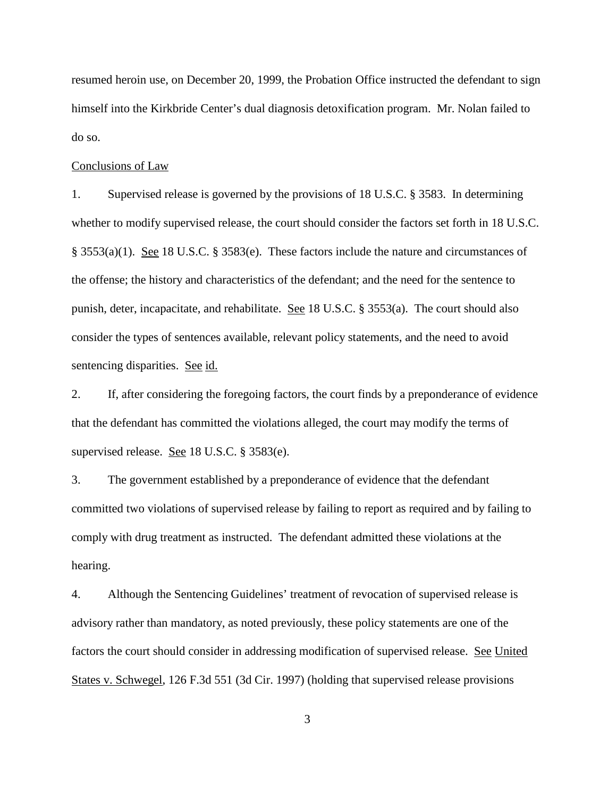resumed heroin use, on December 20, 1999, the Probation Office instructed the defendant to sign himself into the Kirkbride Center's dual diagnosis detoxification program. Mr. Nolan failed to do so.

#### Conclusions of Law

1. Supervised release is governed by the provisions of 18 U.S.C. § 3583. In determining whether to modify supervised release, the court should consider the factors set forth in 18 U.S.C.  $\S$  3553(a)(1). See 18 U.S.C.  $\S$  3583(e). These factors include the nature and circumstances of the offense; the history and characteristics of the defendant; and the need for the sentence to punish, deter, incapacitate, and rehabilitate. See 18 U.S.C. § 3553(a). The court should also consider the types of sentences available, relevant policy statements, and the need to avoid sentencing disparities. See id.

2. If, after considering the foregoing factors, the court finds by a preponderance of evidence that the defendant has committed the violations alleged, the court may modify the terms of supervised release. See 18 U.S.C. § 3583(e).

3. The government established by a preponderance of evidence that the defendant committed two violations of supervised release by failing to report as required and by failing to comply with drug treatment as instructed. The defendant admitted these violations at the hearing.

4. Although the Sentencing Guidelines' treatment of revocation of supervised release is advisory rather than mandatory, as noted previously, these policy statements are one of the factors the court should consider in addressing modification of supervised release. See United States v. Schwegel, 126 F.3d 551 (3d Cir. 1997) (holding that supervised release provisions

3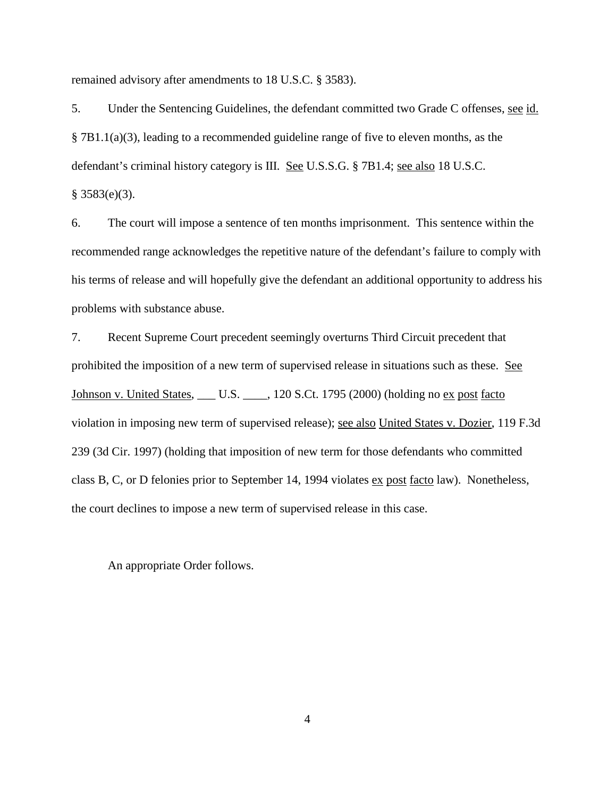remained advisory after amendments to 18 U.S.C. § 3583).

5. Under the Sentencing Guidelines, the defendant committed two Grade C offenses, see id. § 7B1.1(a)(3), leading to a recommended guideline range of five to eleven months, as the defendant's criminal history category is III. See U.S.S.G. § 7B1.4; see also 18 U.S.C. § 3583(e)(3).

6. The court will impose a sentence of ten months imprisonment. This sentence within the recommended range acknowledges the repetitive nature of the defendant's failure to comply with his terms of release and will hopefully give the defendant an additional opportunity to address his problems with substance abuse.

7. Recent Supreme Court precedent seemingly overturns Third Circuit precedent that prohibited the imposition of a new term of supervised release in situations such as these. See Johnson v. United States, \_\_\_\_ U.S. \_\_\_\_, 120 S.Ct. 1795 (2000) (holding no ex post facto violation in imposing new term of supervised release); see also United States v. Dozier, 119 F.3d 239 (3d Cir. 1997) (holding that imposition of new term for those defendants who committed class B, C, or D felonies prior to September 14, 1994 violates ex post facto law). Nonetheless, the court declines to impose a new term of supervised release in this case.

An appropriate Order follows.